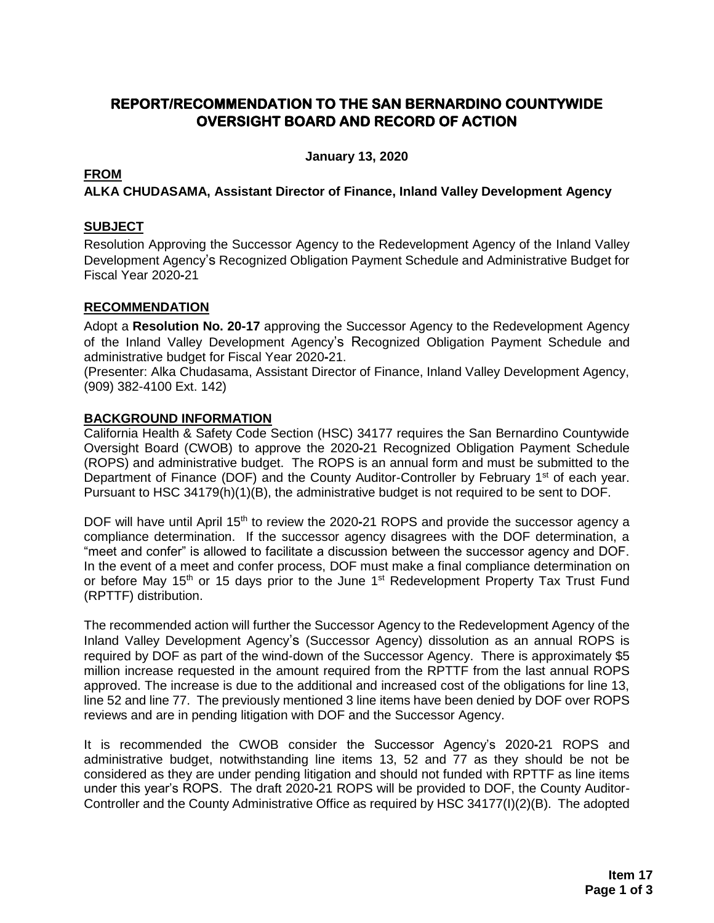## **REPORT/RECOMMENDATION TO THE SAN BERNARDINO COUNTYWIDE OVERSIGHT BOARD AND RECORD OF ACTION**

**January 13, 2020**

#### **FROM**

**ALKA CHUDASAMA, Assistant Director of Finance, Inland Valley Development Agency**

#### **SUBJECT**

Resolution Approving the Successor Agency to the Redevelopment Agency of the Inland Valley Development Agency's Recognized Obligation Payment Schedule and Administrative Budget for Fiscal Year 2020**-**21

### **RECOMMENDATION**

Adopt a **Resolution No. 20-17** approving the Successor Agency to the Redevelopment Agency of the Inland Valley Development Agency's Recognized Obligation Payment Schedule and administrative budget for Fiscal Year 2020**-**21.

(Presenter: Alka Chudasama, Assistant Director of Finance, Inland Valley Development Agency, (909) 382-4100 Ext. 142)

#### **BACKGROUND INFORMATION**

California Health & Safety Code Section (HSC) 34177 requires the San Bernardino Countywide Oversight Board (CWOB) to approve the 2020**-**21 Recognized Obligation Payment Schedule (ROPS) and administrative budget. The ROPS is an annual form and must be submitted to the Department of Finance (DOF) and the County Auditor-Controller by February 1<sup>st</sup> of each year. Pursuant to HSC 34179(h)(1)(B), the administrative budget is not required to be sent to DOF.

DOF will have until April 15<sup>th</sup> to review the 2020-21 ROPS and provide the successor agency a compliance determination. If the successor agency disagrees with the DOF determination, a "meet and confer" is allowed to facilitate a discussion between the successor agency and DOF. In the event of a meet and confer process, DOF must make a final compliance determination on or before May 15<sup>th</sup> or 15 days prior to the June 1<sup>st</sup> Redevelopment Property Tax Trust Fund (RPTTF) distribution.

The recommended action will further the Successor Agency to the Redevelopment Agency of the Inland Valley Development Agency's (Successor Agency) dissolution as an annual ROPS is required by DOF as part of the wind-down of the Successor Agency. There is approximately \$5 million increase requested in the amount required from the RPTTF from the last annual ROPS approved. The increase is due to the additional and increased cost of the obligations for line 13, line 52 and line 77. The previously mentioned 3 line items have been denied by DOF over ROPS reviews and are in pending litigation with DOF and the Successor Agency.

It is recommended the CWOB consider the Successor Agency's 2020**-**21 ROPS and administrative budget, notwithstanding line items 13, 52 and 77 as they should be not be considered as they are under pending litigation and should not funded with RPTTF as line items under this year's ROPS. The draft 2020**-**21 ROPS will be provided to DOF, the County Auditor-Controller and the County Administrative Office as required by HSC 34177(I)(2)(B). The adopted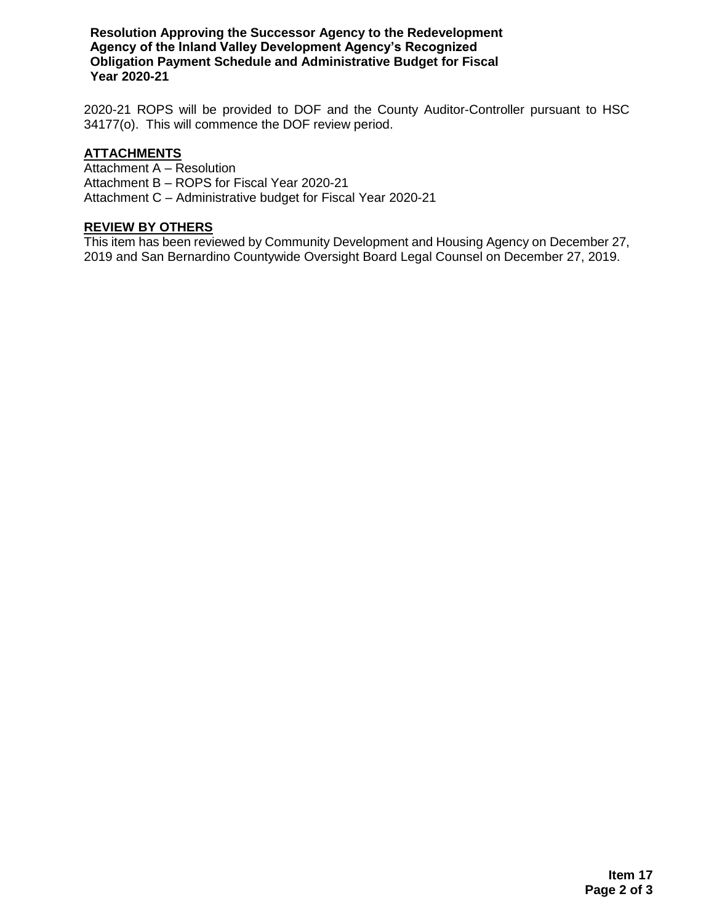**Resolution Approving the Successor Agency to the Redevelopment Agency of the Inland Valley Development Agency's Recognized Obligation Payment Schedule and Administrative Budget for Fiscal Year 2020-21**

2020-21 ROPS will be provided to DOF and the County Auditor-Controller pursuant to HSC 34177(o). This will commence the DOF review period.

#### **ATTACHMENTS**

Attachment A – Resolution Attachment B – ROPS for Fiscal Year 2020-21 Attachment C – Administrative budget for Fiscal Year 2020-21

#### **REVIEW BY OTHERS**

This item has been reviewed by Community Development and Housing Agency on December 27, 2019 and San Bernardino Countywide Oversight Board Legal Counsel on December 27, 2019.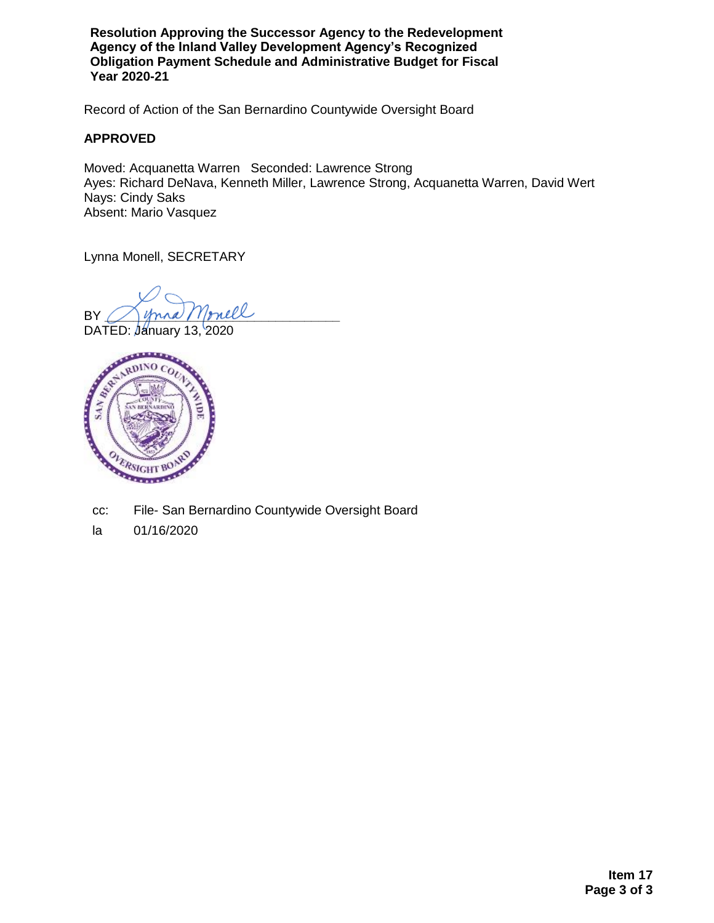**Resolution Approving the Successor Agency to the Redevelopment Agency of the Inland Valley Development Agency's Recognized Obligation Payment Schedule and Administrative Budget for Fiscal Year 2020-21**

Record of Action of the San Bernardino Countywide Oversight Board

#### **APPROVED**

Moved: Acquanetta Warren Seconded: Lawrence Strong Ayes: Richard DeNava, Kenneth Miller, Lawrence Strong, Acquanetta Warren, David Wert Nays: Cindy Saks Absent: Mario Vasquez

Lynna Monell, SECRETARY

 $\n BY \; \mathrel{\sim} \; \mathrel{\mathop{\triangle} \; } m$ na Monell



- cc: File- San Bernardino Countywide Oversight Board
- la 01/16/2020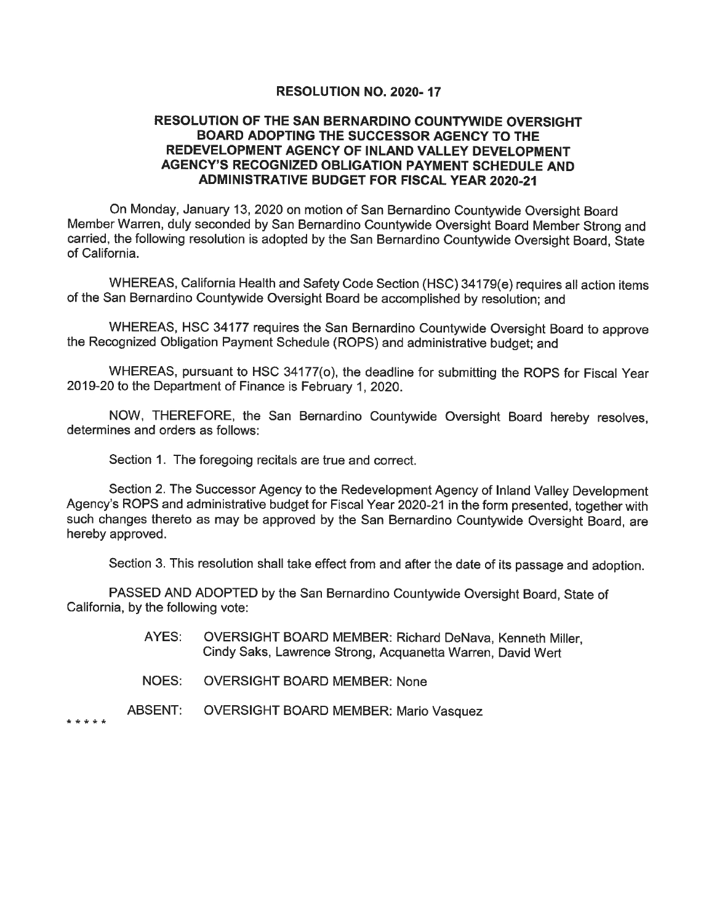#### RESOLUTION NO. 2020-17

#### RESOLUTION OF THE SAN BERNARDINO COUNTYWIDE OVERSIGHT **BOARD ADOPTING THE SUCCESSOR AGENCY TO THE** REDEVELOPMENT AGENCY OF INLAND VALLEY DEVELOPMENT AGENCY'S RECOGNIZED OBLIGATION PAYMENT SCHEDULE AND **ADMINISTRATIVE BUDGET FOR FISCAL YEAR 2020-21**

On Monday, January 13, 2020 on motion of San Bernardino Countywide Oversight Board Member Warren, duly seconded by San Bernardino Countywide Oversight Board Member Strong and carried, the following resolution is adopted by the San Bernardino Countywide Oversight Board, State of California.

WHEREAS, California Health and Safety Code Section (HSC) 34179(e) requires all action items of the San Bernardino Countywide Oversight Board be accomplished by resolution; and

WHEREAS, HSC 34177 requires the San Bernardino Countywide Oversight Board to approve the Recognized Obligation Payment Schedule (ROPS) and administrative budget; and

WHEREAS, pursuant to HSC 34177(o), the deadline for submitting the ROPS for Fiscal Year 2019-20 to the Department of Finance is February 1, 2020.

NOW, THEREFORE, the San Bernardino Countywide Oversight Board hereby resolves, determines and orders as follows:

Section 1. The foregoing recitals are true and correct.

Section 2. The Successor Agency to the Redevelopment Agency of Inland Valley Development Agency's ROPS and administrative budget for Fiscal Year 2020-21 in the form presented, together with such changes thereto as may be approved by the San Bernardino Countywide Oversight Board, are hereby approved.

Section 3. This resolution shall take effect from and after the date of its passage and adoption.

PASSED AND ADOPTED by the San Bernardino Countywide Oversight Board, State of California, by the following vote:

- OVERSIGHT BOARD MEMBER: Richard DeNava, Kenneth Miller, AYES: Cindy Saks, Lawrence Strong, Acquanetta Warren, David Wert
- NOES: **OVERSIGHT BOARD MEMBER: None**
- ABSENT: **OVERSIGHT BOARD MEMBER: Mario Vasquez**

\* \* \* \* \*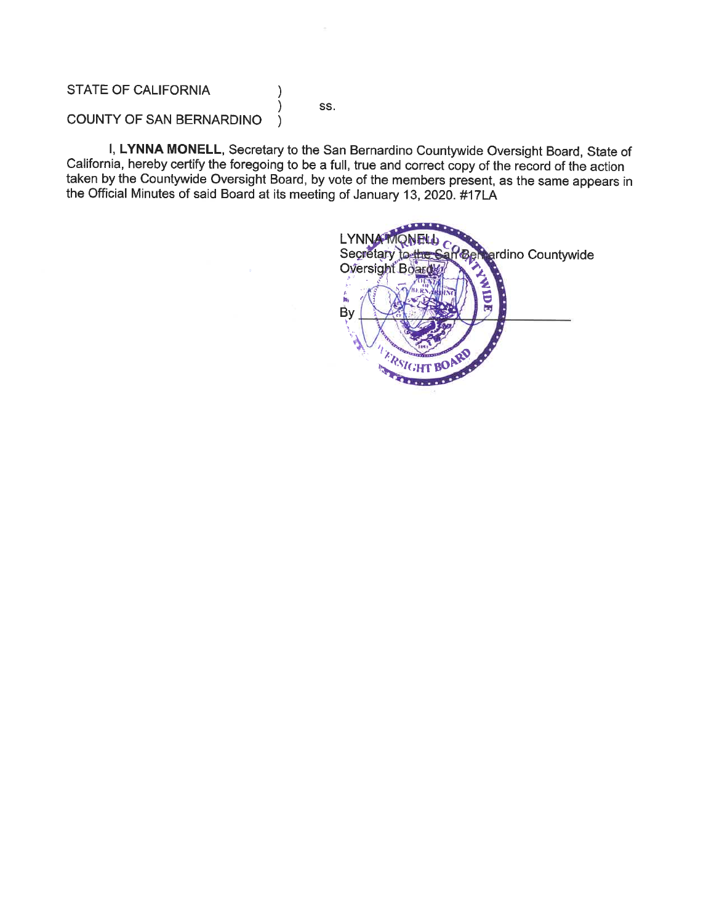### **STATE OF CALIFORNIA**

SS.

 $\mathcal{E}$ 

 $\mathcal{E}$ 

#### COUNTY OF SAN BERNARDINO  $\lambda$

I, LYNNA MONELL, Secretary to the San Bernardino Countywide Oversight Board, State of California, hereby certify the foregoing to be a full, true and correct copy of the record of the action taken by the Countywide Oversight Board, by vote of the members present, as the same appears in the Official Minutes of said Board at its meeting of January 13, 2020. #17LA

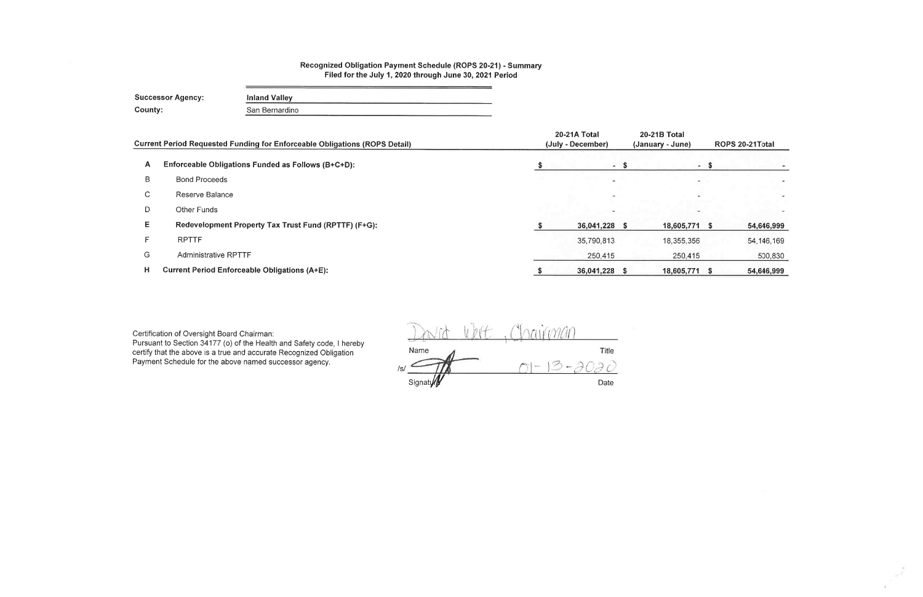#### Recognized Obligation Payment Schedule (ROPS 20-21) - Summary Filed for the July 1, 2020 through June 30, 2021 Period

**Successor Agency: Inland Valley** County: San Bernardino

|             | <b>Current Period Requested Funding for Enforceable Obligations (ROPS Detail)</b> | 20-21A Total<br>(July - December) | <b>20-21B Total</b><br>(January - June) | ROPS 20-21Total |              |  |
|-------------|-----------------------------------------------------------------------------------|-----------------------------------|-----------------------------------------|-----------------|--------------|--|
| A           | Enforceable Obligations Funded as Follows (B+C+D):                                | - \$                              | $\sim$                                  |                 |              |  |
| B           | <b>Bond Proceeds</b>                                                              |                                   |                                         |                 |              |  |
| $\sim$<br>◡ | Reserve Balance                                                                   |                                   |                                         |                 |              |  |
| D           | Other Funds                                                                       |                                   |                                         |                 |              |  |
| Е           | Redevelopment Property Tax Trust Fund (RPTTF) (F+G):                              | 36,041,228 \$                     | 18,605,771                              | - S             | 54,646,999   |  |
| Е           | <b>RPTTF</b>                                                                      | 35,790,813                        | 18,355,356                              |                 | 54, 146, 169 |  |
| G           | <b>Administrative RPTTF</b>                                                       | 250,415                           | 250,415                                 |                 | 500,830      |  |
| н           | <b>Current Period Enforceable Obligations (A+E):</b>                              | 36,041,228 \$                     | 18,605,771                              |                 | 54,646,999   |  |

Certification of Oversight Board Chairman:<br>Pursuant to Section 34177 (o) of the Health and Safety code, I hereby<br>certify that the above is a true and accurate Recognized Obligation<br>Payment Schedule for the above named succ

rairman Title Name  $\mathbb{Z}$  $\frac{1}{2}$ Date Signaty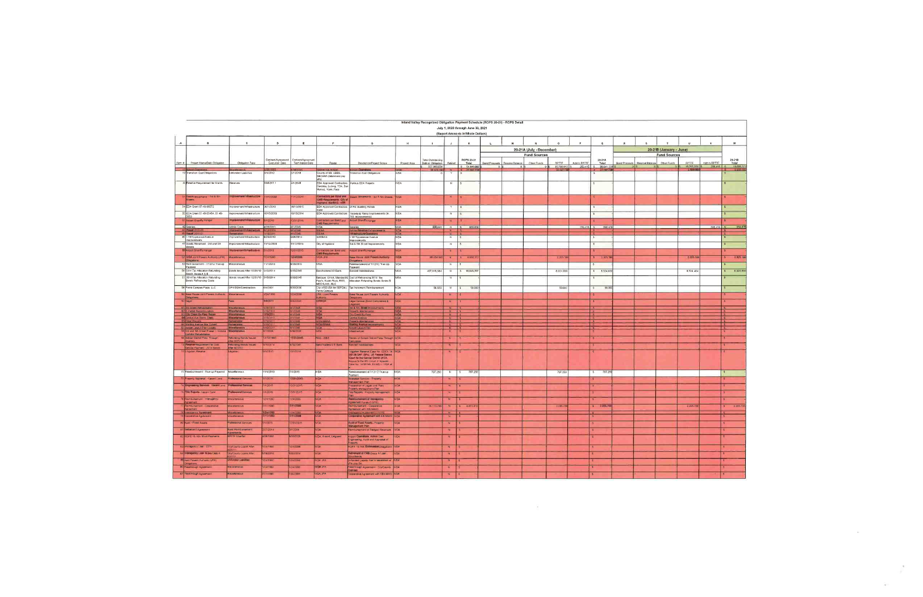|        |                                                           |                                                                                                                                                                                                                                                  |                                      |                                        |                                                                        |                                                                               |              | Inland Valley Recognized Obligation Payment Schedule (ROPS 20-21) - ROPS Detail |                         |                                    |               |                 |                          |                           |             |                         |              |                                 |                         |                        |                  |                         |
|--------|-----------------------------------------------------------|--------------------------------------------------------------------------------------------------------------------------------------------------------------------------------------------------------------------------------------------------|--------------------------------------|----------------------------------------|------------------------------------------------------------------------|-------------------------------------------------------------------------------|--------------|---------------------------------------------------------------------------------|-------------------------|------------------------------------|---------------|-----------------|--------------------------|---------------------------|-------------|-------------------------|--------------|---------------------------------|-------------------------|------------------------|------------------|-------------------------|
|        |                                                           |                                                                                                                                                                                                                                                  |                                      |                                        |                                                                        |                                                                               |              |                                                                                 |                         | July 1, 2020 through June 30, 2021 |               |                 |                          |                           |             |                         |              |                                 |                         |                        |                  |                         |
|        |                                                           |                                                                                                                                                                                                                                                  |                                      |                                        |                                                                        |                                                                               |              |                                                                                 |                         | (Report Amounts in Whole Dollars)  |               |                 |                          |                           |             |                         |              |                                 |                         |                        |                  |                         |
|        | $\blacksquare$                                            | $\mathbf c$                                                                                                                                                                                                                                      | D                                    | я.                                     |                                                                        | $\mathfrak{a}$                                                                |              |                                                                                 | $\upsilon$              |                                    |               |                 |                          |                           |             | $\circ$                 | $\mathbf{p}$ |                                 |                         | $\mathbf{H}$           | $\boldsymbol{y}$ | w                       |
|        |                                                           |                                                                                                                                                                                                                                                  |                                      |                                        |                                                                        |                                                                               |              |                                                                                 |                         |                                    |               |                 | 20-21A (July - December) |                           |             |                         |              |                                 | 20-21B (January - June) |                        |                  |                         |
|        |                                                           |                                                                                                                                                                                                                                                  |                                      |                                        |                                                                        |                                                                               |              |                                                                                 |                         |                                    |               |                 | <b>Fund Sources</b>      |                           |             |                         |              |                                 | <b>Fund Sources</b>     |                        |                  |                         |
| Ilem a | - Project Name/Debt Obligation                            | Obligation Type                                                                                                                                                                                                                                  | Contract/Agreement<br>Execution Date | Contract/Agreement<br>Termination Date | Pavee                                                                  | Description/Project Scope                                                     | Project Area | Total Outstanding<br>Debt or Obligation                                         | Retired                 | ROPS 20-21<br>Total                | Bond Proceeds | Reserve Balance | Other Funds              | RPTTF                     | Admin RPTTF | 20-21A<br>Total         |              | Bond Proceeds   Reserve Balance | Other Funds             | RPTTF                  | Admin RPTTF      | 20-21B<br>Total         |
|        | nort Cinerating                                           |                                                                                                                                                                                                                                                  |                                      |                                        | AA/ SB Airpo                                                           |                                                                               |              | 557.383.834<br>30.343.480                                                       |                         | \$ 54.646.999<br>S 27 587 7        |               | 0 <sup>1</sup>  | 0 <sup>1</sup>           | 35.790.813 5<br>22 087 TT |             | 250.415 \$ 36.041.228   |              |                                 |                         | 18.355.356<br>5.500.00 | $250415$ S       | 18 605 77<br>$-5.50$    |
|        | 19 Transition Cost Obligations                            | <b>Infunded Liabilities</b>                                                                                                                                                                                                                      | 6/1/2012                             | 2/1/2018                               | County of SB LBBS<br>SBCERA (retirement pay                            | <b>Transition Cost Obligations</b>                                            | <b>IVDA</b>  |                                                                                 | Y.                      |                                    |               |                 |                          |                           |             |                         |              |                                 |                         |                        |                  |                         |
|        |                                                           |                                                                                                                                                                                                                                                  |                                      |                                        | offs)                                                                  |                                                                               |              |                                                                                 |                         |                                    |               |                 |                          |                           |             |                         |              |                                 |                         |                        |                  |                         |
|        | 22 Reserve Requirement for Grants                         | Reserves                                                                                                                                                                                                                                         | 10/8/2011                            | 4/1/2048                               | EDA Approved Contractors:<br>Cordoba, Ludwig, TDA, San                 | Various EDA Projects                                                          | <b>NDA</b>   |                                                                                 | π                       |                                    |               |                 |                          |                           |             |                         |              |                                 |                         |                        |                  |                         |
|        |                                                           |                                                                                                                                                                                                                                                  |                                      |                                        | Manuel, Vanir, Pace                                                    |                                                                               |              |                                                                                 |                         |                                    |               |                 |                          |                           |             |                         |              |                                 |                         |                        |                  |                         |
|        | Goods Movements 3rd & 5th                                 | <b>Instrumental Inflastructus</b>                                                                                                                                                                                                                | 1/12/2008                            | 12/2014                                | Electors per Bond and                                                  | oods Movements 3rd & 5th Streets   IVDA                                       |              |                                                                                 |                         |                                    |               |                 |                          |                           |             |                         |              |                                 |                         |                        |                  |                         |
|        | 34 EDA Grant 07-49-06572                                  | Improvement/Infrastructure 9/21/2010                                                                                                                                                                                                             |                                      | 10/13/2015                             | CMS Passimium City of<br>EDA Approved Contractors: DFAS Building Rehab |                                                                               | <b>IVDA</b>  |                                                                                 |                         | $\overline{s}$                     |               |                 |                          |                           |             |                         |              |                                 |                         |                        |                  |                         |
|        |                                                           |                                                                                                                                                                                                                                                  |                                      |                                        | Vanir                                                                  |                                                                               |              |                                                                                 |                         |                                    |               |                 |                          |                           |             |                         |              |                                 |                         |                        |                  |                         |
|        | 35 EDA Grant 07-49-06454; 07-49-<br>0653                  | Improvement/Infrastructure                                                                                                                                                                                                                       | 10/15/2009                           | 10/15/2014                             | <b>EDA Approved Contractors</b>                                        | Taxiway & Ramp Improvements (H.<br>763 Improvements)                          | <b>IVDA</b>  |                                                                                 | $\overline{N}$          |                                    |               |                 |                          |                           |             |                         |              |                                 |                         |                        |                  |                         |
|        | Airport Sheriff's Hanga                                   |                                                                                                                                                                                                                                                  | #1/2010                              | 2/31/2015                              | intractors per Bond and<br><b>CMB Requirements</b>                     | Auport Sheriffs Hangar                                                        | <b>IVDA</b>  |                                                                                 |                         |                                    |               |                 |                          |                           |             |                         |              |                                 |                         |                        |                  |                         |
|        | 42 Salaries                                               | Admin Costs                                                                                                                                                                                                                                      | 4/28/2012                            | 11/2048                                | <b>NON</b>                                                             | <b>Salaries</b><br>Airline Hangman Enhancemen                                 | IVDA:        | 800,000                                                                         | $N \mid S$              | 500.830                            |               |                 |                          |                           | $250.415$ S | 250 415                 |              |                                 |                         |                        | 250 415 5        |                         |
|        | 45 Resolt 2011-01<br>46 1-10/Tionecanoe Avenue            | emediation<br>Improvement/Infrastructure                                                                                                                                                                                                         |                                      | ması<br>6/28/2014                      | <b>BIAA</b><br>SANBAG                                                  | sheet at unfurniture.                                                         | <b>IVDA</b>  |                                                                                 | N                       |                                    |               |                 |                          |                           |             |                         |              |                                 |                         |                        |                  |                         |
|        | <b>Improvements</b>                                       |                                                                                                                                                                                                                                                  | 8/25/2010                            |                                        |                                                                        | I-10/ Tippecance Avenue<br>Improvements                                       |              |                                                                                 |                         |                                    |               |                 |                          |                           |             |                         |              |                                 |                         |                        |                  |                         |
|        | 47 Goods Movement - 3rd and 5th<br>Streets                | Improvement/Infrastructure                                                                                                                                                                                                                       | 11/12/2008                           | 1/12/2015                              | Dity of Highland                                                       | 3rd & 5th Street Improvements                                                 | <b>IVDA</b>  |                                                                                 | N                       | $\sim$                             |               |                 |                          |                           |             | $\mathsf{s}$            |              |                                 |                         |                        |                  |                         |
|        | <b>III</b> Airport Shenffs Hanga                          | Ho <del>sma</del> nthilasicatus                                                                                                                                                                                                                  | /1/2010                              | 2/31/2015                              | itractors per Bond and<br><b>AB Hagers</b>                             | Airport Sheriff's Hangar                                                      |              |                                                                                 |                         |                                    |               |                 |                          |                           |             |                         |              |                                 |                         |                        |                  |                         |
|        | <b>IVEM Joint Powers Authority (JPA)</b><br>Obligations   | <b>Iscellaneous</b>                                                                                                                                                                                                                              | /24/1990                             | 197000                                 | <b>VDA JPA</b>                                                         | Base Reuse June Powers Authenty<br>anoilispilo                                | 779          | 88 454 945                                                                      |                         | \$ 4.650.3                         |               |                 |                          | 2.325.1                   |             | $5 - 2.3251$            |              |                                 |                         | 2.134,186              |                  | 115.1                   |
|        | 3 Reimbursement - 7/12/12 True-up<br>Payment              | Aiscellaneous                                                                                                                                                                                                                                    | 1/1/2013                             | 5/30/2015                              | <b>IVDA</b>                                                            | eimbursement of 7/12/12 True-Up                                               | VDA          |                                                                                 |                         |                                    |               |                 |                          |                           |             |                         |              |                                 |                         |                        |                  |                         |
|        | 56 2014 Tax Allocation Refunding                          | Bonds Issued After 12/31/10                                                                                                                                                                                                                      | 5/15/2014                            | 5/30/2045                              | Bondholders/US Bank                                                    | Payment<br><b>Bonded Indebtedness</b>                                         | <b>IVDA</b>  | 407.815.584                                                                     | N                       | \$ 16,649,39                       |               |                 |                          | 8.324.933                 |             | $5 - 8.324.93$          |              |                                 |                         | 8.324.46               |                  | 8.324 46                |
|        | Bonds Series A & B<br>7 2014 Tax Allocation Refunding     | Bonds Issued After 12/31/10                                                                                                                                                                                                                      | 5/15/2014                            | 6/30/2045                              |                                                                        | Barclays, Orrick, Standard & Cost of Refinancing 2014 Tax                     | <b>IVDA</b>  |                                                                                 |                         | $\sim$                             |               |                 |                          |                           |             |                         |              |                                 |                         |                        |                  |                         |
|        | Bonds Refinancing Costs                                   |                                                                                                                                                                                                                                                  |                                      |                                        | Poor's, Kutak Rock, RSG,<br>MECHLAW, MLC                               | Allocation Refunding Bonds Series B                                           |              |                                                                                 |                         |                                    |               |                 |                          |                           |             |                         |              |                                 |                         |                        |                  |                         |
|        | 58 Perris Campus Plaza, LLC                               | OPA/DDA/Construction                                                                                                                                                                                                                             | 6/4/2007                             | 6/30/2030                              | City of SB (SA for SBRDA)<br>Perris Campus                             | Tax Increment Reimbursement                                                   | <b>NON</b>   | 58.829                                                                          | N                       | $\overline{s}$<br>50,00            |               |                 |                          | 50,000                    |             | 50,000<br>S             |              |                                 |                         |                        |                  |                         |
|        | <b>Base Reuse Joint Powers Authority</b>                  | <b>iscellaneous</b>                                                                                                                                                                                                                              | /24/1990                             | 24/2099                                | RA - Joint Powers                                                      | Base Reuse Joint Powers Authority                                             | /DA          |                                                                                 | N                       |                                    |               |                 |                          |                           |             |                         |              |                                 |                         |                        |                  |                         |
|        | Obligations<br>Legal                                      | ees                                                                                                                                                                                                                                              | मनमा                                 | /30/2045                               | <b>RACK</b>                                                            | Legal Service (Bond Compliance &                                              | <b>MDA</b>   |                                                                                 |                         |                                    |               |                 |                          |                           |             |                         |              |                                 |                         |                        |                  |                         |
|        | 61 3rd Street Rehabilitation                              | Miscellaneous                                                                                                                                                                                                                                    | 19/201                               | 1/1/2048                               | <b>VDA</b>                                                             | ingation)<br>3rd & 5th Etter Improvements                                     |              |                                                                                 | N <sub>3</sub>          |                                    |               |                 |                          |                           |             |                         |              |                                 |                         |                        |                  |                         |
|        | E-Parcel Reconfiguration<br><b>He Count is Fire Hours</b> | Majatatelyz                                                                                                                                                                                                                                      |                                      | 11/2048                                |                                                                        | poerty Maintenance<br>ity Creek By-Pass                                       | <b>IVOA</b>  |                                                                                 | N<br>N                  |                                    |               |                 |                          |                           |             |                         |              |                                 |                         |                        |                  |                         |
|        | Central Ave Storm [Nation]                                | <b>THE REPORT</b><br><b>Macedardon</b>                                                                                                                                                                                                           |                                      | 4/1/2048                               |                                                                        | Central Avenue                                                                | <b>IVDA</b>  |                                                                                 | $N$ S                   |                                    |               |                 |                          |                           |             |                         |              |                                 |                         |                        |                  | <b>Es</b>               |
|        | <b>Flood Renairs</b><br>Sterling Avenue Box Culvert       | emediation<br>Remediation.                                                                                                                                                                                                                       |                                      | 4/1/2048<br>4/1/2048                   | <b>VDA/SBIAA</b>                                                       | rocerty Maintenance.<br>Harting Allen in Improveme                            | <b>IVDA</b>  |                                                                                 | N                       |                                    |               |                 |                          |                           |             |                         |              |                                 |                         |                        |                  | i s<br>$\mathbf{S}$     |
|        | Airport Lavout Plan Uodate                                | <b>SOUTH A</b>                                                                                                                                                                                                                                   |                                      | 4/1/2048                               | <b>IVDA</b>                                                            | <b>Airport Lawxit Plan</b>                                                    | IVDA.        |                                                                                 | <b>No. 1</b>            |                                    |               |                 |                          |                           |             |                         |              |                                 |                         |                        |                  | $\blacksquare$          |
|        | 3rd and 5th Street Phase   Victoria                       | Andigmanas                                                                                                                                                                                                                                       | 712006                               | 130/2026                               | <b>NOVI</b>                                                            | Intrastructure                                                                | $\sqrt{2}$   |                                                                                 |                         |                                    |               |                 |                          |                           |             |                         |              |                                 |                         |                        |                  | $\overline{\mathbf{s}}$ |
|        | Comdor Renabilitation<br>School District Pass Through     | lefunding Bonds Issued                                                                                                                                                                                                                           | 114/1990                             | 317541                                 | SG LBBS                                                                | Review of School District Pass Through WDA                                    |              |                                                                                 | N                       |                                    |               |                 |                          |                           |             |                         |              |                                 |                         |                        |                  |                         |
|        | <b>Inseries Requirement for Debt</b>                      | efunding Bonds 'ssued                                                                                                                                                                                                                            | 115/2014                             | 130/2045                               | sond holders/U.S.Bank                                                  | Bonded Indebledness                                                           | MEM          |                                                                                 | $\overline{N}$          |                                    |               |                 |                          |                           |             |                         |              |                                 |                         |                        |                  |                         |
|        | Service Payment 2014 Bonds<br>I figation Reserve          | After 6/27/12<br>itigation                                                                                                                                                                                                                       | 1/2010                               | 0/1/2016                               | DA                                                                     | ligation Reserve (Case No. EDCV 14- IVDA                                      |              |                                                                                 |                         |                                    |               |                 |                          |                           |             |                         |              |                                 |                         |                        |                  |                         |
|        |                                                           |                                                                                                                                                                                                                                                  |                                      |                                        |                                                                        | <b>OTAK GAF JSPN LIST Federal Detroit</b><br>Dout to the Central Denis at CA. |              |                                                                                 |                         |                                    |               |                 |                          |                           |             |                         |              |                                 |                         |                        |                  |                         |
|        |                                                           |                                                                                                                                                                                                                                                  |                                      |                                        |                                                                        | Appeal to the 9th Circuit of Appeals<br>Case No. 14-56146, EVWD v. IVDA e     |              |                                                                                 |                         |                                    |               |                 |                          |                           |             |                         |              |                                 |                         |                        |                  |                         |
|        |                                                           |                                                                                                                                                                                                                                                  |                                      |                                        |                                                                        |                                                                               |              |                                                                                 |                         |                                    |               |                 |                          |                           |             |                         |              |                                 |                         |                        |                  |                         |
| 72     | Reimbursement True-up Payment                             | Miscellaneous                                                                                                                                                                                                                                    | 1/1/2013                             | 71/2015                                | <b>IIVDA</b>                                                           | Reimbursement of 7/12/12 True-up<br>ayment                                    | <b>IVDA</b>  | 797,250                                                                         | N                       | $S = 797.25$                       |               |                 |                          | 797,250                   |             | 797.25<br>S             |              |                                 |                         |                        |                  | $\mathsf{s}$            |
|        | operty Appraisal - Vacant Land                            | dessional Services                                                                                                                                                                                                                               | 1/2015                               | 5/31/3015                              | <b>VDA</b>                                                             | <b>Appraisal Services</b> Property<br>Management Plan                         | <b>NDA</b>   |                                                                                 |                         |                                    |               |                 |                          |                           |             |                         |              |                                 |                         |                        |                  |                         |
|        | <b><i><u>Agreeming Services Vacant Land</u></i></b>       | <b>Anastmal Rainicas</b>                                                                                                                                                                                                                         | 11/2015                              | 2/31/2015                              | <b>AQVI</b>                                                            | Preparation of Legals and Plats<br>roperty Management Plan-                   | <b>NOVI</b>  |                                                                                 | N                       |                                    |               |                 |                          |                           |             |                         |              |                                 |                         |                        |                  |                         |
|        | <b>Ille Reports - Vacant Land</b>                         | <b>Massing Services</b>                                                                                                                                                                                                                          | 1/2015                               | 2/31/2015                              | VDA                                                                    | Title Reports - Property Management                                           | <b>VCA</b>   |                                                                                 |                         |                                    |               |                 |                          |                           |             |                         |              |                                 |                         |                        |                  |                         |
|        | Reimbursement - Interagency                               | iscellaneous                                                                                                                                                                                                                                     | /24/1990                             | 24/2099                                | <b>IVDA</b>                                                            | companies of interesting                                                      | VDA          |                                                                                 |                         |                                    |               |                 |                          |                           |             |                         |              |                                 |                         |                        |                  |                         |
|        | Agreement<br>Rembursement Cooperative                     | <b>Iscellaneous</b>                                                                                                                                                                                                                              | 1111990                              | <b>Elizabeth</b>                       | <b>VDA</b>                                                             | Agreement Funds (1/3/15<br>Reimbursement - Cooperative                        | <b>ACV</b>   | 20.113.746                                                                      | N                       | $S = 4,411,4$                      |               |                 |                          | 2,205,7                   |             | $S = 3.705R$            |              |                                 |                         | 2,205.70               |                  | 2,205.7<br>S            |
|        | Agreement<br>nteragency Allianswar                        | <b>Iscellaneous</b>                                                                                                                                                                                                                              |                                      | 24/2099                                | <b>NON</b>                                                             | greement with SBVMWD<br>nteragency Agree                                      | VDA          |                                                                                 |                         |                                    |               |                 |                          |                           |             | $\overline{\mathbf{s}}$ |              |                                 |                         |                        |                  |                         |
|        | Cooperative Agree                                         | <i><b>Ascellaneous</b></i>                                                                                                                                                                                                                       | 20011471                             | N EPHILI                               | <b>VDA</b>                                                             | steerative Agreement with SBVMW                                               | VDA          |                                                                                 |                         |                                    |               |                 |                          |                           |             |                         |              |                                 |                         |                        |                  |                         |
|        | <b>BC</b> Audit - Fixed Assets                            | rofessional Services                                                                                                                                                                                                                             | 1/2015                               | 2/31/2015                              | <b>NUM</b>                                                             | <b>Audit of Fixed Assets - Property</b>                                       | VDA          |                                                                                 | N                       |                                    |               |                 |                          |                           |             | $\overline{\mathsf{s}}$ |              |                                 |                         |                        |                  | $\overline{\mathbf{s}}$ |
|        | Settlement Agreemen                                       | ond Reimbursemen                                                                                                                                                                                                                                 | 27/2014                              | 1/2044                                 | /DA                                                                    | Reimbursement of Pledged Revenue                                              | /DA          |                                                                                 | N                       |                                    |               |                 |                          |                           |             | S                       |              |                                 |                         |                        |                  |                         |
|        | 82 ROPS 15-16A Short Payments                             | areements<br><b>RPTTF Shortfall</b>                                                                                                                                                                                                              | 4/28/1992                            | 5/30/2025                              | VDA, Airport, Lidgaard                                                 | <b>Airport Council of a Miller at Cost</b>                                    | VDA          |                                                                                 | $\overline{N}$          |                                    |               |                 |                          |                           |             |                         |              |                                 |                         |                        |                  |                         |
|        |                                                           |                                                                                                                                                                                                                                                  |                                      |                                        |                                                                        | ingineering, Audit and Appraisal of<br>operty                                 |              |                                                                                 |                         |                                    |               |                 |                          |                           |             |                         |              |                                 |                         |                        |                  |                         |
|        | 83 Interagency Loan - EC/s                                | ity/County Loans After                                                                                                                                                                                                                           | /24/1990                             | 74/2099                                | VDA                                                                    | OPS 15-16A Hammer Obligations                                                 | <b>NON</b>   |                                                                                 | N                       |                                    |               |                 |                          |                           |             |                         |              |                                 |                         |                        |                  |                         |
|        | 54 Himsgeray Look to be- CMB 4                            | <b>City/County Loans ARe-</b>                                                                                                                                                                                                                    | 16/2014                              | 130/2014                               | VOA                                                                    | enimient of CMB Group A Loan                                                  | <b>IVDA</b>  |                                                                                 | $\overline{\mathbf{N}}$ |                                    |               |                 |                          |                           |             |                         |              |                                 |                         |                        |                  |                         |
|        | Joint Powers Authority (JPA                               | <b><i><u>Contract Contract Contract Contract Contract Contract Contract Contract Contract Contract Contract Contract Contract Contract Contract Contract Contract Contract Contract Contract Contract Contract Contract Contract Con</u></i></b> | 24/1990                              | /24/2099                               | VDA JPA                                                                | 014 Bonds<br>Infunded Liability due to separation of TIVDA.                   |              |                                                                                 |                         | $\mathbf{\hat{c}}$                 |               |                 |                          |                           |             |                         |              |                                 |                         |                        |                  |                         |
|        | nganon<br>86 Passthrough Agreemen                         | <b>Iscellaneous</b>                                                                                                                                                                                                                              | /24/1990                             | 124/2099                               | <b>AN JPA</b>                                                          | PA and SA<br>Passthrough Agreement City/County                                | <b>IVDA</b>  |                                                                                 |                         |                                    |               |                 |                          |                           |             |                         |              |                                 |                         |                        |                  |                         |
|        | 87 Passthrough Agreement                                  | Miscellaneous                                                                                                                                                                                                                                    | /11/1990                             | 730/2099                               | <b>IVDA JPA</b>                                                        | <b>Settings</b><br>cooperative Agreement with SBVMWD IVDA                     |              |                                                                                 | N                       |                                    |               |                 |                          |                           |             |                         |              |                                 |                         |                        |                  |                         |
|        |                                                           |                                                                                                                                                                                                                                                  |                                      |                                        |                                                                        |                                                                               |              |                                                                                 |                         |                                    |               |                 |                          |                           |             |                         |              |                                 |                         |                        |                  |                         |

 $\sim 10^{-1}$ 

 $\overline{\alpha}$  .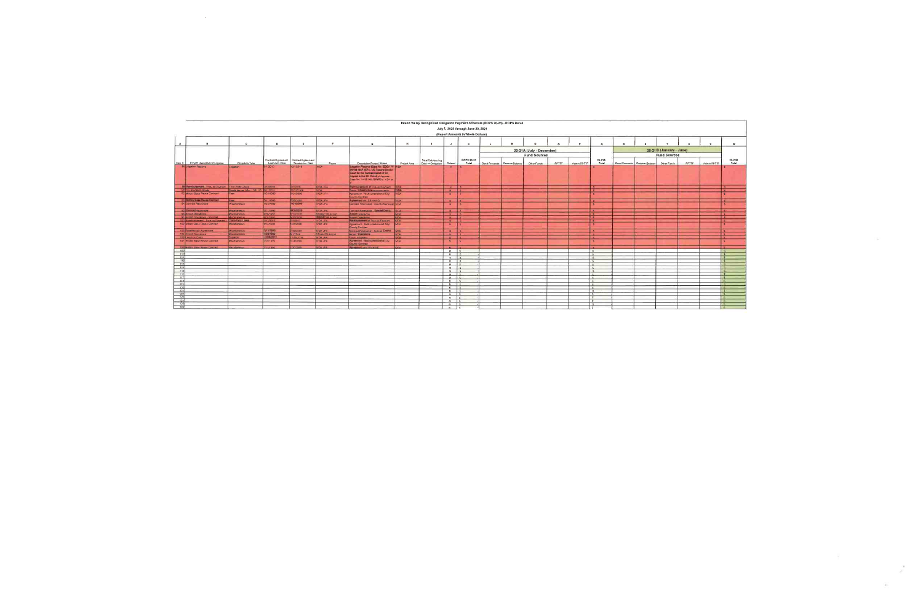|                                                                                                               |                                       |                       |                                                             |                         |                                                                                                                                                                                                            |              |                                                 |                  | July 1, 2020 through June 30, 2021 |                               |                          |              |                |                          |   |                               |                         |              |              |                                                     |
|---------------------------------------------------------------------------------------------------------------|---------------------------------------|-----------------------|-------------------------------------------------------------|-------------------------|------------------------------------------------------------------------------------------------------------------------------------------------------------------------------------------------------------|--------------|-------------------------------------------------|------------------|------------------------------------|-------------------------------|--------------------------|--------------|----------------|--------------------------|---|-------------------------------|-------------------------|--------------|--------------|-----------------------------------------------------|
|                                                                                                               |                                       |                       |                                                             |                         |                                                                                                                                                                                                            |              |                                                 |                  | (Report Amounts in Whole Dollars)  |                               |                          |              |                |                          |   |                               |                         |              |              |                                                     |
| $\mathbf{B}$                                                                                                  | $\mathbf{c}$                          | D.                    | F                                                           | g.                      | $\mathbf{G}$                                                                                                                                                                                               | $\mathbf{R}$ |                                                 | $\mathbf{A}$     | $\mathbf{K}$                       | $\mathbf{M}$                  |                          | $\sim$       | $\blacksquare$ | $\circ$                  | R |                               |                         | $\mathbf{u}$ | $\mathbf{v}$ | W.                                                  |
|                                                                                                               |                                       |                       |                                                             |                         |                                                                                                                                                                                                            |              |                                                 |                  |                                    |                               |                          |              |                |                          |   |                               |                         |              |              |                                                     |
|                                                                                                               |                                       |                       |                                                             |                         |                                                                                                                                                                                                            |              |                                                 |                  |                                    |                               | 20-21A (July - December) |              |                |                          |   |                               | 20-21B (January - June) |              |              |                                                     |
|                                                                                                               |                                       |                       |                                                             |                         |                                                                                                                                                                                                            |              |                                                 |                  |                                    |                               | <b>Fund Sources</b>      |              |                |                          |   |                               | <b>Fund Sources</b>     |              |              |                                                     |
| <b>Item # Project Name/Debt Obligation</b>                                                                    | Obligation Type                       | <b>Execution Date</b> | Contract/Agreement   Contract/Agreement<br>Termination Date | Payee                   | Description/Project Scope                                                                                                                                                                                  | Project Area | Total Outstanding<br>Debt or Obligation Retired |                  | ROPS 20-21<br>Total                | Bond Proceeds Reserve Balance | Other Funds              | <b>RPTTE</b> | Admin RPTTF    | $20-21A$<br>Total        |   | Bond Proceeds Reserve Balance | Other Funds             | <b>RPTTF</b> | Admin RPTTF  | $20 - 21B$<br>Total                                 |
| 88 Libration Reserve                                                                                          | hoalion                               | 9/1/2010              | 12/1/2016                                                   | <b>IVOA</b>             | I moster. Reserve (Case tie EDCV 14- IVCA)<br><b>0136 OAF (SPs), US Federal Cretists</b><br>Court for the Carmal Digiter of CA<br>upper to the two Circuit of Appeals<br>Case No. 14-56146 EVWID - IVOA et |              |                                                 |                  |                                    |                               |                          |              |                |                          |   |                               |                         |              |              |                                                     |
| <b>El Retti Line La True un Payment Third Party Leans</b>                                                     |                                       | 7/12/2012             | 11/2016                                                     | IVDA JPA                | <b>Netzs Feeling of True-up Payment   IVDA</b>                                                                                                                                                             |              |                                                 | $N$ $S$          |                                    |                               |                          |              |                | $\sim$                   |   |                               |                         |              |              | $\mathsf{I}$                                        |
| 90 Tax Allocation Bonds                                                                                       | londs Issued After 12/31/10 5/11/2011 |                       | 2/31/2108                                                   | <b>INDA</b>             | Public <b>Past utility</b> improvements <b>INCA</b>                                                                                                                                                        |              |                                                 | $N$ $S$          |                                    |                               |                          |              |                | ार                       |   |                               |                         |              |              | $\overline{1}$ s                                    |
| 92 Military Base Reuse Contract                                                                               | <b>Fees</b>                           | 1/24/1990             | 124/2099                                                    | IVDA JPA                | Agreement Multi-jurisdictional City/                                                                                                                                                                       | <b>INDA</b>  |                                                 | N                |                                    |                               |                          |              |                |                          |   |                               |                         |              |              | iis.                                                |
| 92 Military State Plaste Contract                                                                             | Fees                                  | 7/11/1990             | 7/30/2099                                                   | IVDA JPA                | County Contract<br>Agreeming with SBVMWD                                                                                                                                                                   |              |                                                 |                  |                                    |                               |                          |              |                |                          |   |                               |                         |              |              |                                                     |
| 94 Contract Receivable                                                                                        | <b>Miscellaneous</b>                  | 1/24/1990             | <b>Germany</b>                                              | IVDA JPA                | Contract Receivable County/Municipal IVDA                                                                                                                                                                  | <b>IVDA</b>  |                                                 | $N = S$<br>N     |                                    |                               |                          |              |                |                          |   |                               |                         |              |              | $\mathsf{S}$<br>$\overline{\mathbf{s}}$             |
| 95 Cami ad Receivable                                                                                         | Miscellaneous                         | 7/11/1990             | 1730/1799                                                   | IVOA JPA                | Contract Receivable - Boodiel Deman IVDA                                                                                                                                                                   |              |                                                 | $N1$ 5           |                                    |                               |                          |              |                | $\mathsf{S}$             |   |                               |                         |              |              | $-5$                                                |
| 96 Airport Operations                                                                                         | Miscellaneous                         | 4728/1992             | 30/2026                                                     | S9IAA/ SR Airport       | August Operations                                                                                                                                                                                          | <b>IVOA</b>  |                                                 | $N$ $S$          |                                    |                               |                          |              |                | $\frac{1}{2}$            |   |                               |                         |              |              | $\overline{\mathsf{s}}$                             |
| 97 Airport Operations - Shortfall                                                                             | Miscellaneous                         | 4/28/1992             | 930/2626                                                    | <b>RIMAL'SB Airport</b> | Airport Operations                                                                                                                                                                                         | <b>IVDA</b>  |                                                 | $N$ $S$          |                                    |                               |                          |              |                | 'Is s                    |   |                               |                         |              |              | $\overline{\phantom{a}}$ s $\overline{\phantom{a}}$ |
| 100 Rembursement - True-up Payma                                                                              | <b>IT These Party Loans</b>           | 771272012             | 12017                                                       | <b>IVDA JPA</b>         | <b>Hamburganger of True-up Payment</b>                                                                                                                                                                     | <b>INDA</b>  |                                                 | $N \frac{1}{2}$  |                                    |                               |                          |              |                | $\mathbf{I}$ s           |   |                               |                         |              |              | $\sqrt{5}$                                          |
| 102 Military Base Reuse Contract                                                                              | Miscellaneous                         | 1/24/1990             | /24/2099                                                    | IVDA JPA                | Agreement - Multi-jurisdictional City/ VDA<br>County Contract                                                                                                                                              |              |                                                 | N.               |                                    |                               |                          |              |                |                          |   |                               |                         |              |              | $\overline{\mathbf{s}}$                             |
| 103 Passthrough Apreement                                                                                     | Miscellaneous                         | <b>771 M1100</b>      | /30/2099                                                    | IVDA JPA                | Contract Receivable - Special District   VDA                                                                                                                                                               |              |                                                 | $N$ S            |                                    |                               |                          |              |                |                          |   |                               |                         |              |              | $\overline{\phantom{a}}$ s                          |
| 104 Arriort Operations                                                                                        | Miscellaneous                         | <b>AUSTRALIA</b>      | 1/1/2044                                                    | <b>SBIAA/SB Asport</b>  | <b>Arnort Destations</b>                                                                                                                                                                                   | <b>IVDA</b>  |                                                 | $N$ $S$          |                                    |                               |                          |              |                | i s                      |   |                               |                         |              |              | l s                                                 |
| 106 Litigation Costs                                                                                          | <b>Litraation</b>                     | 1 2 5 0 1             | /28/2018                                                    | IVOA JPA                | Court Judament                                                                                                                                                                                             | <b>IVDA</b>  |                                                 | $N$ s            |                                    |                               |                          |              |                | t s                      |   |                               |                         |              |              | $\blacksquare$ s                                    |
| 107 Military Base Reuse Contract                                                                              | Miscellaneous                         | 1/24/1990             | /24/2099                                                    | IVDA JPA                | Agreement - Multi (uranishonar City/<br><b>County General</b>                                                                                                                                              | <b>IVDA</b>  |                                                 | N                | <b>11 C</b>                        |                               |                          |              |                |                          |   |                               |                         |              |              | $\overline{\mathsf{s}}$                             |
| 108 Military Base Reuse Contract                                                                              | Miscellaneous                         | (11/1990)             | 730/2099                                                    | IVDA JPA                | <b>Agiermal with SRVMWD</b>                                                                                                                                                                                | <b>EIVDA</b> |                                                 | N                |                                    |                               |                          |              |                | $\overline{\phantom{a}}$ |   |                               |                         |              |              |                                                     |
|                                                                                                               |                                       |                       |                                                             |                         |                                                                                                                                                                                                            |              |                                                 | $N$ 5            |                                    |                               |                          |              |                | s.                       |   |                               |                         |              |              | R                                                   |
|                                                                                                               |                                       |                       |                                                             |                         |                                                                                                                                                                                                            |              |                                                 | N                | $\epsilon$                         |                               |                          |              |                | $\sim$                   |   |                               |                         |              |              | <b>MES</b>                                          |
|                                                                                                               |                                       |                       |                                                             |                         |                                                                                                                                                                                                            |              |                                                 | $N_S$            |                                    |                               |                          |              |                | $\sim$                   |   |                               |                         |              |              | u.                                                  |
|                                                                                                               |                                       |                       |                                                             |                         |                                                                                                                                                                                                            |              |                                                 | $N = S$          |                                    |                               |                          |              |                | $\epsilon$               |   |                               |                         |              |              | o e                                                 |
| $\frac{113}{114}$                                                                                             |                                       |                       |                                                             |                         |                                                                                                                                                                                                            |              |                                                 | $N$ 5            |                                    |                               |                          |              |                | $\frac{1}{s}$            |   |                               |                         |              |              | 一名:                                                 |
|                                                                                                               |                                       |                       |                                                             |                         |                                                                                                                                                                                                            |              |                                                 | $N$ $s$          |                                    |                               |                          |              |                | $\sim$                   |   |                               |                         |              |              | $\mathbb{R}$                                        |
| $\frac{115}{116}$                                                                                             |                                       |                       |                                                             |                         |                                                                                                                                                                                                            |              |                                                 | N                |                                    |                               |                          |              |                | $\sim$                   |   |                               |                         |              |              | $-21$                                               |
|                                                                                                               |                                       |                       |                                                             |                         |                                                                                                                                                                                                            |              |                                                 | $N$ $S$          |                                    |                               |                          |              |                | $\sim$                   |   |                               |                         |              |              |                                                     |
|                                                                                                               |                                       |                       |                                                             |                         |                                                                                                                                                                                                            |              |                                                 | $N \mid S$       |                                    |                               |                          |              |                | $\mathbf{s}$             |   |                               |                         |              |              |                                                     |
|                                                                                                               |                                       |                       |                                                             |                         |                                                                                                                                                                                                            |              |                                                 | $N$ $S$          |                                    |                               |                          |              |                | $\sim$                   |   |                               |                         |              |              | - 51                                                |
| $\begin{array}{r c} \hline 118 \\ \hline 119 \\ \hline 120 \\ \hline 121 \\ \hline 122 \\ \hline \end{array}$ |                                       |                       |                                                             |                         |                                                                                                                                                                                                            |              |                                                 | $N$ s            |                                    |                               |                          |              |                | $\sim$                   |   |                               |                         |              |              | - 51                                                |
|                                                                                                               |                                       |                       |                                                             |                         |                                                                                                                                                                                                            |              |                                                 | $N$ 5            |                                    |                               |                          |              |                |                          |   |                               |                         |              |              |                                                     |
|                                                                                                               |                                       |                       |                                                             |                         |                                                                                                                                                                                                            |              |                                                 | $N$ $s$<br>$N$ s |                                    |                               |                          |              |                | Is.                      |   |                               |                         |              |              | 119.7                                               |
|                                                                                                               |                                       |                       |                                                             |                         |                                                                                                                                                                                                            |              |                                                 | $N$ 5            |                                    |                               |                          |              |                | $\sim$                   |   |                               |                         |              |              |                                                     |
|                                                                                                               |                                       |                       |                                                             |                         |                                                                                                                                                                                                            |              |                                                 |                  |                                    |                               |                          |              |                | $\sim$                   |   |                               |                         |              |              | <b>FISH</b>                                         |
|                                                                                                               |                                       |                       |                                                             |                         |                                                                                                                                                                                                            |              |                                                 | $N$ 5            |                                    |                               |                          |              |                | $\sim$                   |   |                               |                         |              |              | - 61                                                |
|                                                                                                               |                                       |                       |                                                             |                         |                                                                                                                                                                                                            |              |                                                 | $N$ S<br>$N$ $S$ |                                    |                               |                          |              |                |                          |   |                               |                         |              |              |                                                     |

 $\label{eq:2.1} \frac{1}{\sqrt{2}}\left(\frac{1}{\sqrt{2}}\right)^{2} \left(\frac{1}{\sqrt{2}}\right)^{2} \left(\frac{1}{\sqrt{2}}\right)^{2} \left(\frac{1}{\sqrt{2}}\right)^{2} \left(\frac{1}{\sqrt{2}}\right)^{2} \left(\frac{1}{\sqrt{2}}\right)^{2} \left(\frac{1}{\sqrt{2}}\right)^{2} \left(\frac{1}{\sqrt{2}}\right)^{2} \left(\frac{1}{\sqrt{2}}\right)^{2} \left(\frac{1}{\sqrt{2}}\right)^{2} \left(\frac{1}{\sqrt{2}}\right)^{2} \left(\$ 

 $\sim 10^{11}$ 

 $\mathcal{A}^{\left(0\right)}$ 

 $\mathcal{A}(\cdot)$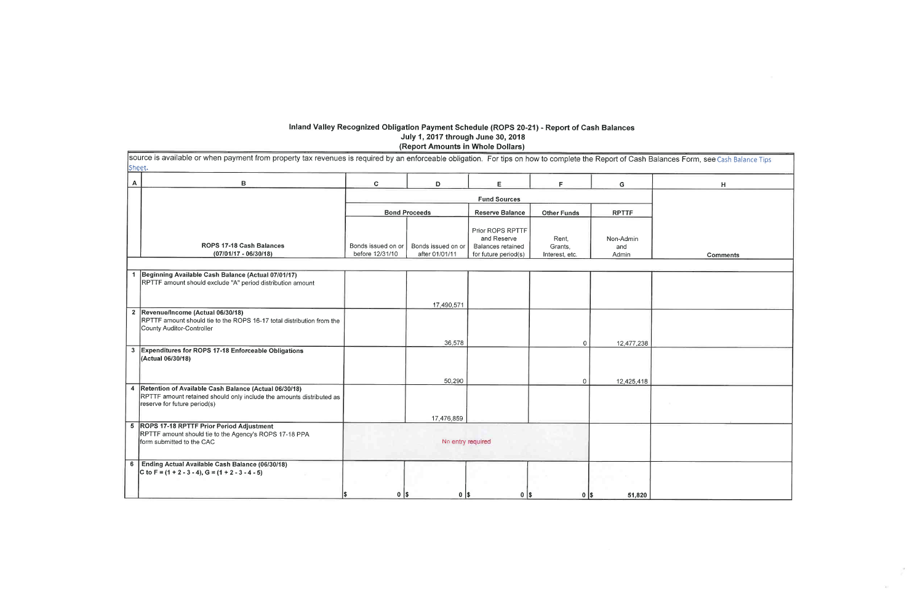# Inland Valley Recognized Obligation Payment Schedule (ROPS 20-21) - Report of Cash Balances<br>July 1, 2017 through June 30, 2018<br>(Report Amounts in Whole Dollars)

| A                       | в                                                                                                                                                             | C.                 | D                    | E                                                           | F                  | G                |
|-------------------------|---------------------------------------------------------------------------------------------------------------------------------------------------------------|--------------------|----------------------|-------------------------------------------------------------|--------------------|------------------|
|                         |                                                                                                                                                               |                    |                      |                                                             |                    |                  |
|                         |                                                                                                                                                               |                    |                      | <b>Fund Sources</b>                                         |                    |                  |
|                         |                                                                                                                                                               |                    | <b>Bond Proceeds</b> | <b>Reserve Balance</b>                                      | <b>Other Funds</b> | <b>RPTTF</b>     |
|                         | <b>ROPS 17-18 Cash Balances</b>                                                                                                                               | Bonds issued on or | Bonds issued on or   | Prior ROPS RPTTF<br>and Reserve<br><b>Balances retained</b> | Rent.<br>Grants,   | Non-Admin<br>and |
|                         | (07/01/17 - 06/30/18)                                                                                                                                         | before 12/31/10    | after 01/01/11       | for future period(s)                                        | Interest, etc.     | Admin            |
|                         |                                                                                                                                                               |                    |                      |                                                             |                    |                  |
| 1                       | Beginning Available Cash Balance (Actual 07/01/17)<br>RPTTF amount should exclude "A" period distribution amount                                              |                    |                      |                                                             |                    |                  |
|                         |                                                                                                                                                               |                    | 17,490,571           |                                                             |                    |                  |
|                         | 2 Revenue/Income (Actual 06/30/18)<br>RPTTF amount should tie to the ROPS 16-17 total distribution from the<br>County Auditor-Controller                      |                    |                      |                                                             |                    |                  |
|                         |                                                                                                                                                               |                    | 36,578               |                                                             | 0                  | 12,477,238       |
| $\overline{3}$          | Expenditures for ROPS 17-18 Enforceable Obligations<br>(Actual 06/30/18)                                                                                      |                    |                      |                                                             |                    |                  |
|                         |                                                                                                                                                               |                    | 50,290               |                                                             | 0                  | 12,425,418       |
| $\overline{\mathbf{4}}$ | Retention of Available Cash Balance (Actual 06/30/18)<br>RPTTF amount retained should only include the amounts distributed as<br>reserve for future period(s) |                    |                      |                                                             |                    |                  |
|                         |                                                                                                                                                               |                    | 17,476,859           |                                                             |                    |                  |
| $5^{\circ}$             | <b>ROPS 17-18 RPTTF Prior Period Adjustment</b><br>RPTTF amount should tie to the Agency's ROPS 17-18 PPA<br>form submitted to the CAC                        |                    | No entry required    |                                                             |                    |                  |
| 6                       | Ending Actual Available Cash Balance (06/30/18)<br>C to F = $(1 + 2 - 3 - 4)$ , G = $(1 + 2 - 3 - 4 - 5)$                                                     |                    |                      |                                                             |                    |                  |
|                         |                                                                                                                                                               | $0$   \$           | $0$   \$             | $0$   \$                                                    | $0$   \$           | 51,820           |

| es Form, see Cash Balance Tips |  |
|--------------------------------|--|
| Н                              |  |
|                                |  |
|                                |  |
|                                |  |
| <b>Comments</b>                |  |
|                                |  |
|                                |  |
|                                |  |
|                                |  |
|                                |  |
|                                |  |
|                                |  |
|                                |  |
|                                |  |
|                                |  |
|                                |  |
|                                |  |
|                                |  |
|                                |  |